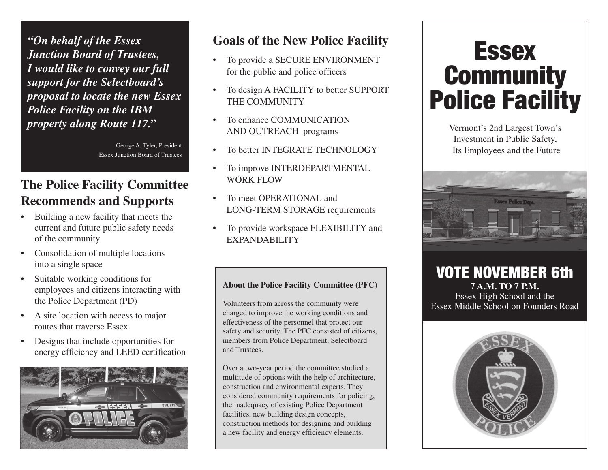*"On behalf of the Essex Junction Board of Trustees, I would like to convey our full support for the Selectboard's proposal to locate the new Essex Police Facility on the IBM property along Route 117."*

> George A. Tyler, President Essex Junction Board of Trustees

## **The Police Facility Committee Recommends and Supports**

- • Building a new facility that meets the current and future public safety needs of the community
- • Consolidation of multiple locations into a single space
- • Suitable working conditions for employees and citizens interacting with the Police Department (PD)
- A site location with access to major routes that traverse Essex
- • Designs that include opportunities for energy efficiency and LEED certification



### **Goals of the New Police Facility**

- To provide a SECURE ENVIRONMENT for the public and police officers
- To design A FACILITY to better SUPPORT the COMMUNITY
- To enhance COMMUNICATION AND OUTREACH programs
- To better INTEGRATE TECHNOLOGY
- To improve INTERDEPARTMENTAL WORK FLOW
- To meet OPERATIONAL and LONG-TERM STORAGE requirements
- To provide workspace FLEXIBILITY and EXPANDABILITY

#### **About the Police Facility Committee (PFC)**

Volunteers from across the community were charged to improve the working conditions and effectiveness of the personnel that protect our safety and security. The PFC consisted of citizens, members from Police Department, Selectboard and Trustees.

Over a two-year period the committee studied a multitude of options with the help of architecture, construction and environmental experts. They considered community requirements for policing, the inadequacy of existing Police Department facilities, new building design concepts, construction methods for designing and building a new facility and energy efficiency elements.

# Essex **Community** Police Facility

Vermont's 2nd Largest Town's Investment in Public Safety, Its Employees and the Future



VOTE NOVEMBER 6th **7 a.m. to 7 p.m.** Essex High School and the Essex Middle School on Founders Road